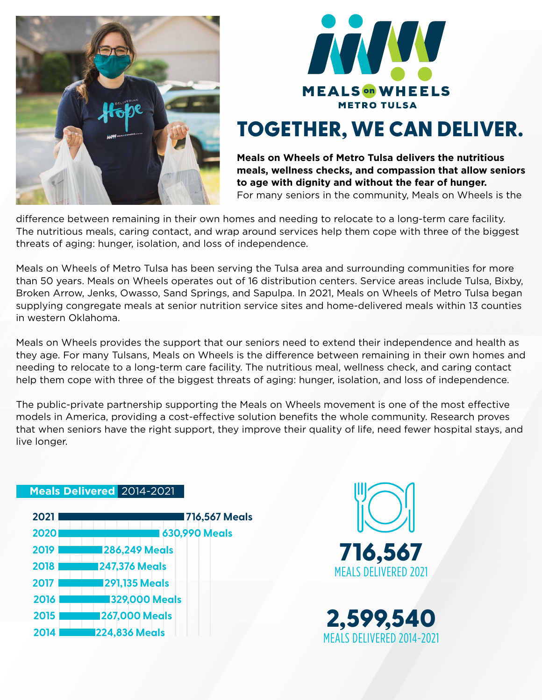



# TOGETHER, WE CAN DELIVER.

**Meals on Wheels of Metro Tulsa delivers the nutritious meals, wellness checks, and compassion that allow seniors to age with dignity and without the fear of hunger.** For many seniors in the community, Meals on Wheels is the

difference between remaining in their own homes and needing to relocate to a long-term care facility. The nutritious meals, caring contact, and wrap around services help them cope with three of the biggest threats of aging: hunger, isolation, and loss of independence.

Meals on Wheels of Metro Tulsa has been serving the Tulsa area and surrounding communities for more than 50 years. Meals on Wheels operates out of 16 distribution centers. Service areas include Tulsa, Bixby, Broken Arrow, Jenks, Owasso, Sand Springs, and Sapulpa. In 2021, Meals on Wheels of Metro Tulsa began supplying congregate meals at senior nutrition service sites and home-delivered meals within 13 counties in western Oklahoma.

Meals on Wheels provides the support that our seniors need to extend their independence and health as they age. For many Tulsans, Meals on Wheels is the difference between remaining in their own homes and needing to relocate to a long-term care facility. The nutritious meal, wellness check, and caring contact help them cope with three of the biggest threats of aging: hunger, isolation, and loss of independence.

The public-private partnership supporting the Meals on Wheels movement is one of the most effective models in America, providing a cost-effective solution benefits the whole community. Research proves that when seniors have the right support, they improve their quality of life, need fewer hospital stays, and live longer.

### **2021 2020 2019 286,249 Meals 2018 247,376 Meals 2017 291,135 Meals 2016 329,000 Meals 2015 267,000 Meals 2014 224,836 Meals 630,990 Meals 716,567 Meals**

**Meals Delivered** 2014-2021



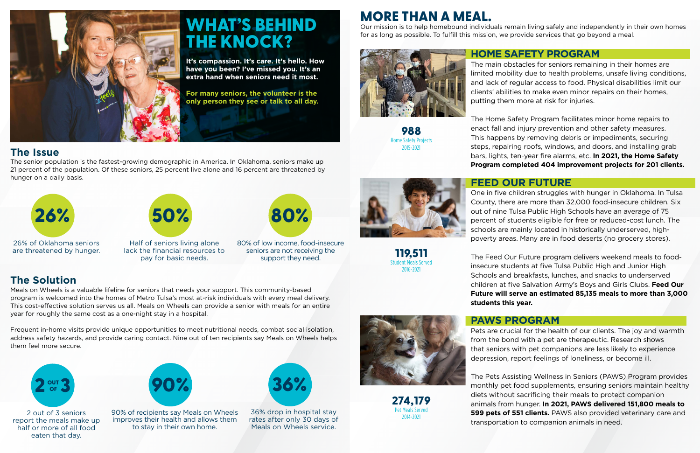## **The Issue**

The senior population is the fastest-growing demographic in America. In Oklahoma, seniors make up 21 percent of the population. Of these seniors, 25 percent live alone and 16 percent are threatened by hunger on a daily basis.

## **The Solution**

Meals on Wheels is a valuable lifeline for seniors that needs your support. This community-based program is welcomed into the homes of Metro Tulsa's most at-risk individuals with every meal delivery. This cost-effective solution serves us all. Meals on Wheels can provide a senior with meals for an entire year for roughly the same cost as a one-night stay in a hospital.

Frequent in-home visits provide unique opportunities to meet nutritional needs, combat social isolation, address safety hazards, and provide caring contact. Nine out of ten recipients say Meals on Wheels helps them feel more secure.



26% of Oklahoma seniors are threatened by hunger.



Half of seniors living alone lack the financial resources to pay for basic needs.



80% of low income, food-insecure seniors are not receiving the support they need.

2 out of 3 seniors report the meals make up half or more of all food eaten that day.



36% drop in hospital stay rates after only 30 days of Meals on Wheels service.







90% of recipients say Meals on Wheels improves their health and allows them to stay in their own home.



# WHAT'S BEHIND THE KNOCK?

**It's compassion. It's care. It's hello. How have you been? I've missed you. It's an extra hand when seniors need it most.** 

**For many seniors, the volunteer is the only person they see or talk to all day.** **HOME SAFETY PROGRAM** The main obstacles for seniors remaining in their homes are limited mobility due to health problems, unsafe living conditions, and lack of regular access to food. Physical disabilities limit our clients' abilities to make even minor repairs on their homes, putting them more at risk for injuries.

The Home Safety Program facilitates minor home repairs to enact fall and injury prevention and other safety measures. This happens by removing debris or impediments, securing steps, repairing roofs, windows, and doors, and installing grab bars, lights, ten-year fire alarms, etc. **In 2021, the Home Safety Program completed 404 improvement projects for 201 clients.**

## **FEED OUR FUTURE**

One in five children struggles with hunger in Oklahoma. In Tulsa County, there are more than 32,000 food-insecure children. Six out of nine Tulsa Public High Schools have an average of 75 percent of students eligible for free or reduced-cost lunch. The schools are mainly located in historically underserved, highpoverty areas. Many are in food deserts (no grocery stores).

The Feed Our Future program delivers weekend meals to foodinsecure students at five Tulsa Public High and Junior High Schools and breakfasts, lunches, and snacks to underserved children at five Salvation Army's Boys and Girls Clubs. **Feed Our Future will serve an estimated 85,135 meals to more than 3,000 students this year.**

### **PAWS PROGRAM**

Pets are crucial for the health of our clients. The joy and warmth from the bond with a pet are therapeutic. Research shows that seniors with pet companions are less likely to experience depression, report feelings of loneliness, or become ill.

The Pets Assisting Wellness in Seniors (PAWS) Program provides monthly pet food supplements, ensuring seniors maintain healthy diets without sacrificing their meals to protect companion animals from hunger. **In 2021, PAWS delivered 151,800 meals to 599 pets of 551 clients.** PAWS also provided veterinary care and transportation to companion animals in need.

988 Home Safety Projects 2015-2021

119,511 Student Meals Served 2016-2021

274,179 Pet Meals Served 2014-2021



Our mission is to help homebound individuals remain living safely and independently in their own homes for as long as possible. To fulfill this mission, we provide services that go beyond a meal.